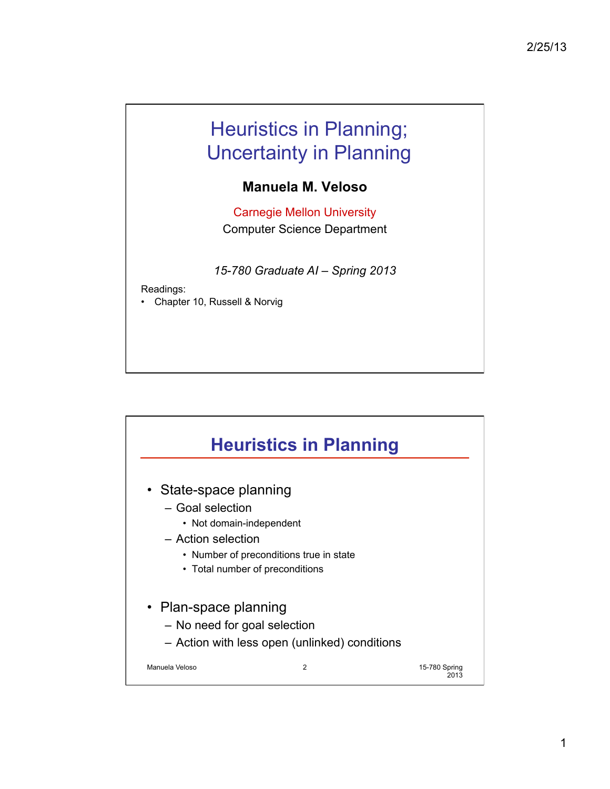## Heuristics in Planning; Uncertainty in Planning

## **Manuela M. Veloso**

Carnegie Mellon University Computer Science Department

*15-780 Graduate AI – Spring 2013* 

Readings:

• Chapter 10, Russell & Norvig

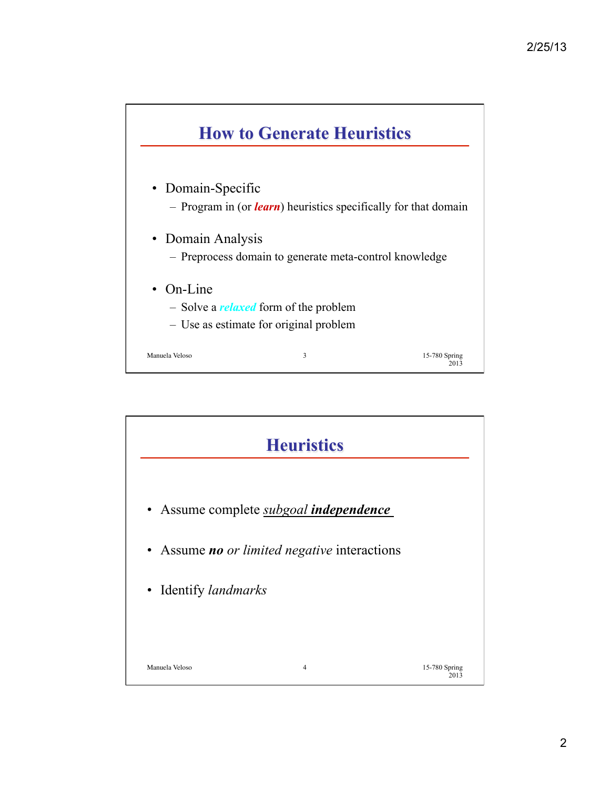

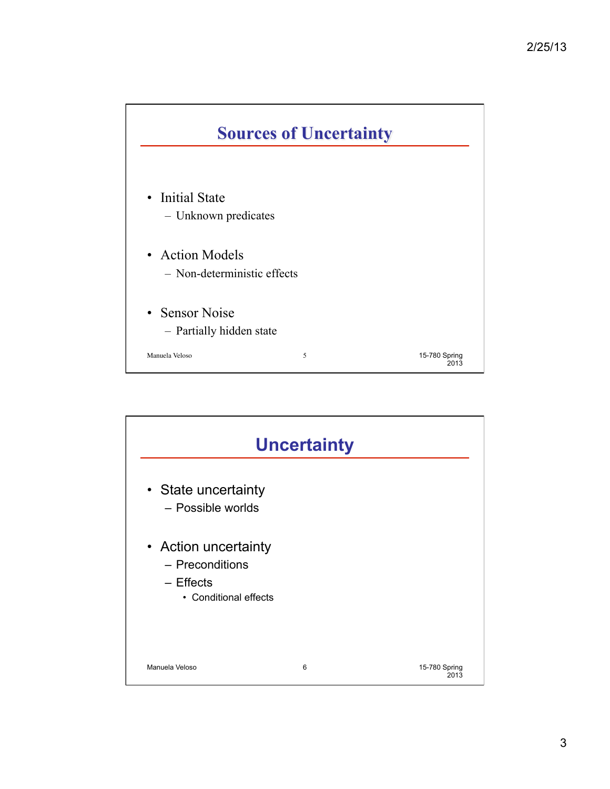

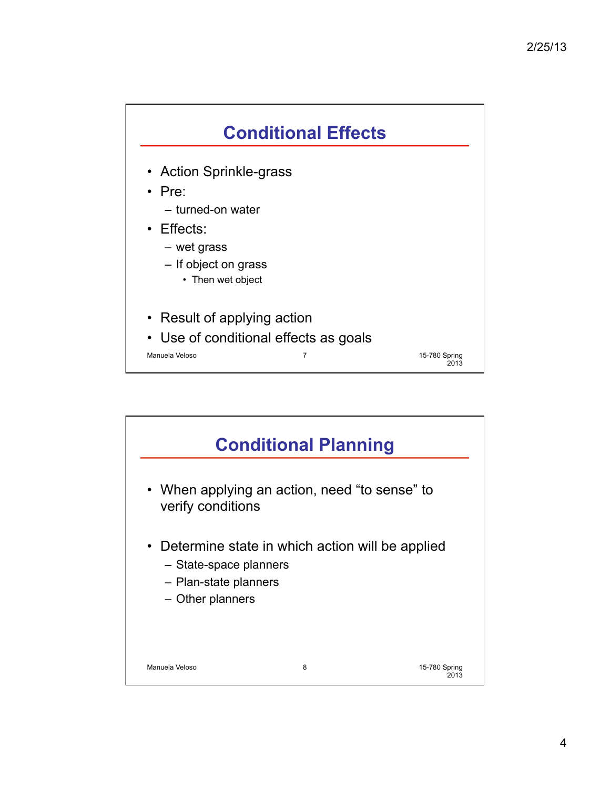

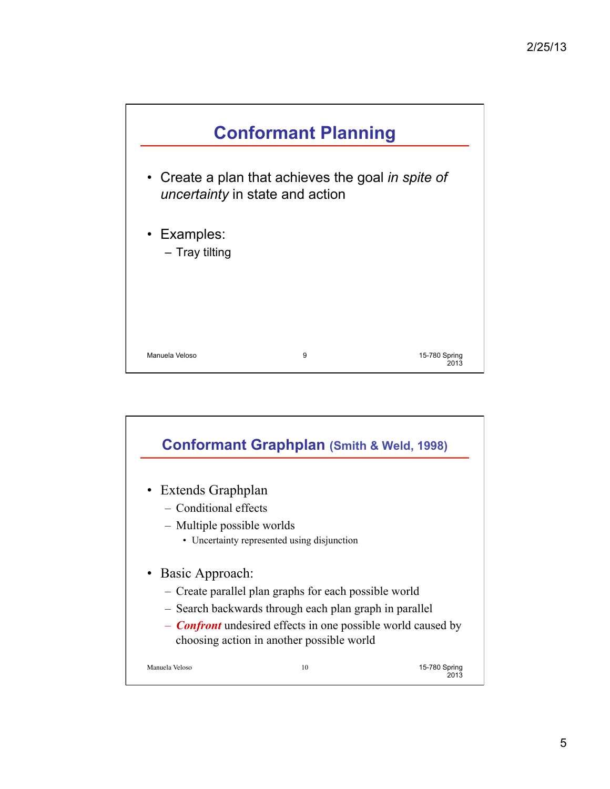

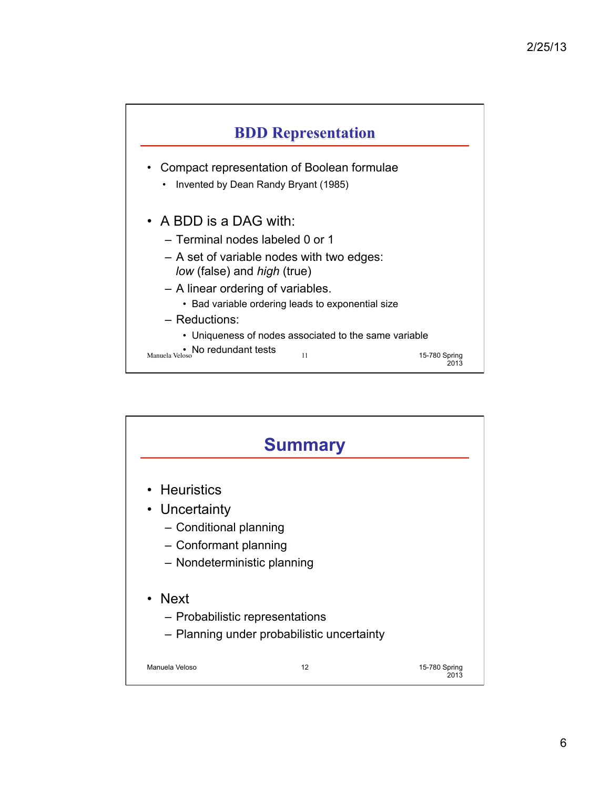

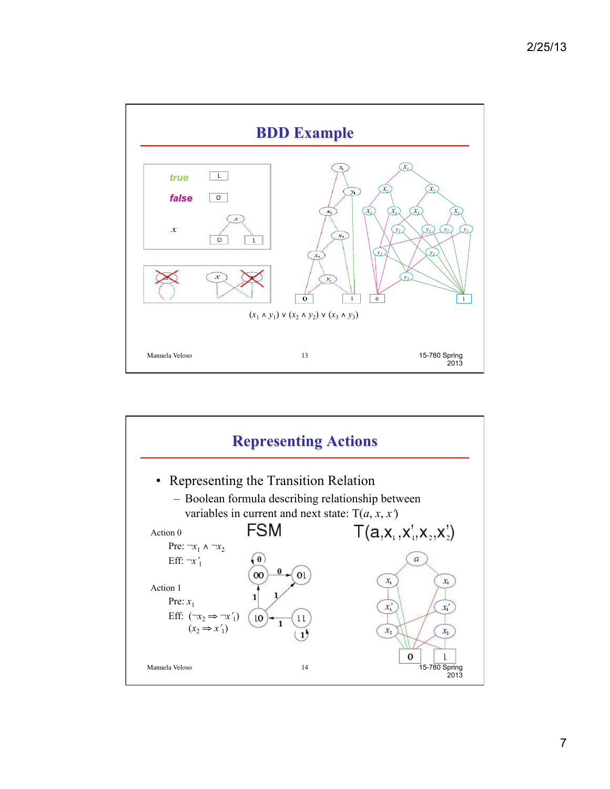

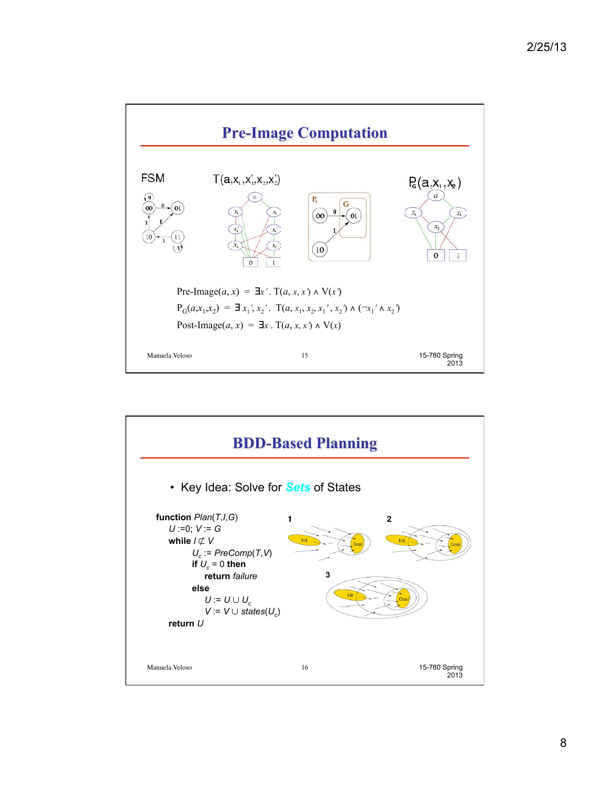